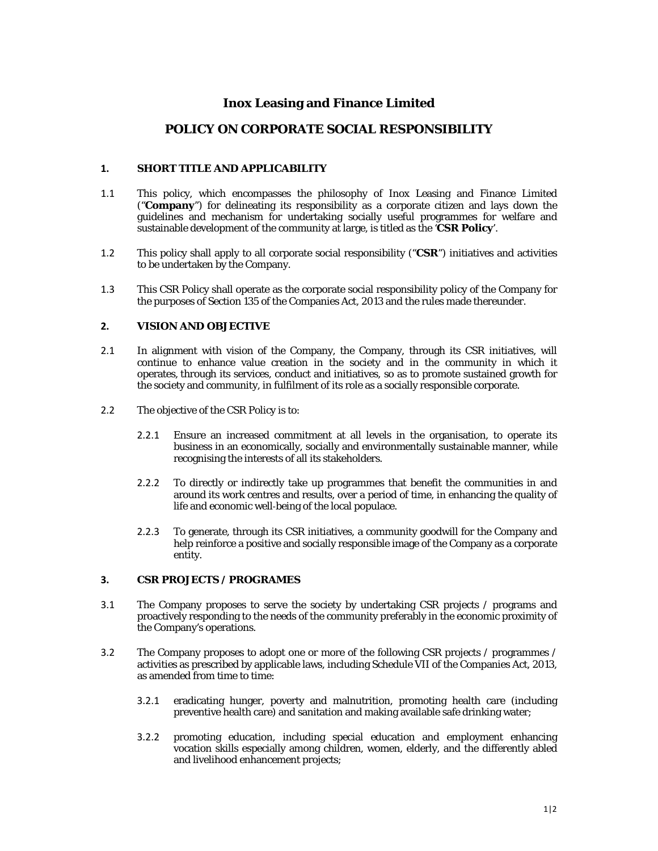# **Inox Leasing and Finance Limited**

# **POLICY ON CORPORATE SOCIAL RESPONSIBILITY**

### **1. SHORT TITLE AND APPLICABILITY**

- 1.1 This policy, which encompasses the philosophy of Inox Leasing and Finance Limited ("**Company**") for delineating its responsibility as a corporate citizen and lays down the guidelines and mechanism for undertaking socially useful programmes for welfare and sustainable development of the community at large, is titled as the '**CSR Policy**'.
- 1.2 This policy shall apply to all corporate social responsibility ("**CSR**") initiatives and activities to be undertaken by the Company.
- 1.3 This CSR Policy shall operate as the corporate social responsibility policy of the Company for the purposes of Section 135 of the Companies Act, 2013 and the rules made thereunder.

#### **2. VISION AND OBJECTIVE**

- 2.1 In alignment with vision of the Company, the Company, through its CSR initiatives, will continue to enhance value creation in the society and in the community in which it operates, through its services, conduct and initiatives, so as to promote sustained growth for the society and community, in fulfilment of its role as a socially responsible corporate.
- 2.2 The objective of the CSR Policy is to:
	- 2.2.1 Ensure an increased commitment at all levels in the organisation, to operate its business in an economically, socially and environmentally sustainable manner, while recognising the interests of all its stakeholders.
	- 2.2.2 To directly or indirectly take up programmes that benefit the communities in and around its work centres and results, over a period of time, in enhancing the quality of life and economic well‐being of the local populace.
	- 2.2.3 To generate, through its CSR initiatives, a community goodwill for the Company and help reinforce a positive and socially responsible image of the Company as a corporate entity.

# **3. CSR PROJECTS / PROGRAMES**

- 3.1 The Company proposes to serve the society by undertaking CSR projects / programs and proactively responding to the needs of the community preferably in the economic proximity of the Company's operations.
- 3.2 The Company proposes to adopt one or more of the following CSR projects / programmes / activities as prescribed by applicable laws, including Schedule VII of the Companies Act, 2013, as amended from time to time:
	- 3.2.1 eradicating hunger, poverty and malnutrition, promoting health care (including preventive health care) and sanitation and making available safe drinking water;
	- 3.2.2 promoting education, including special education and employment enhancing vocation skills especially among children, women, elderly, and the differently abled and livelihood enhancement projects;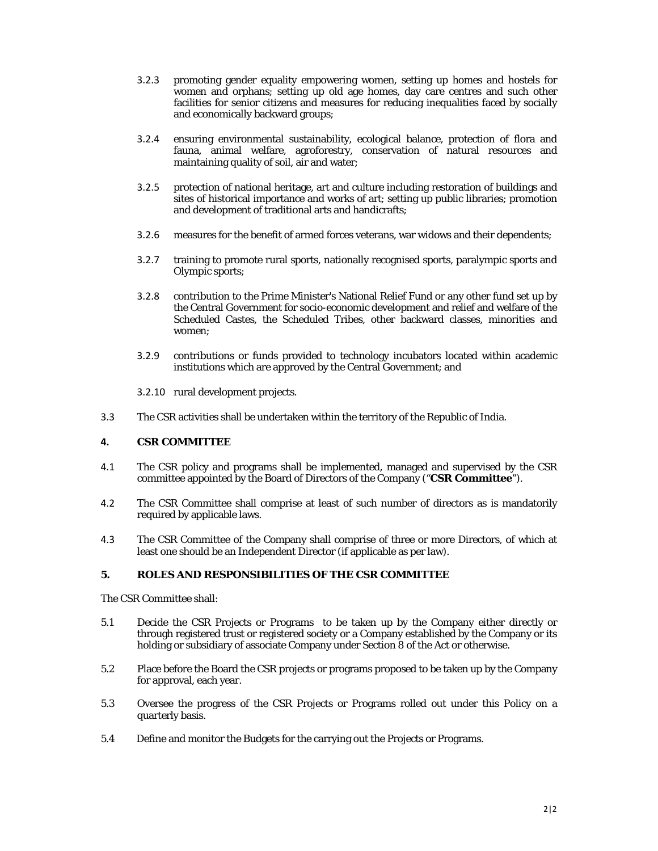- 3.2.3 promoting gender equality empowering women, setting up homes and hostels for women and orphans; setting up old age homes, day care centres and such other facilities for senior citizens and measures for reducing inequalities faced by socially and economically backward groups;
- 3.2.4 ensuring environmental sustainability, ecological balance, protection of flora and fauna, animal welfare, agroforestry, conservation of natural resources and maintaining quality of soil, air and water;
- 3.2.5 protection of national heritage, art and culture including restoration of buildings and sites of historical importance and works of art; setting up public libraries; promotion and development of traditional arts and handicrafts;
- 3.2.6 measures for the benefit of armed forces veterans, war widows and their dependents;
- 3.2.7 training to promote rural sports, nationally recognised sports, paralympic sports and Olympic sports;
- 3.2.8 contribution to the Prime Minister's National Relief Fund or any other fund set up by the Central Government for socio-economic development and relief and welfare of the Scheduled Castes, the Scheduled Tribes, other backward classes, minorities and women;
- 3.2.9 contributions or funds provided to technology incubators located within academic institutions which are approved by the Central Government; and

3.2.10 rural development projects.

3.3 The CSR activities shall be undertaken within the territory of the Republic of India.

#### **4. CSR COMMITTEE**

- 4.1 The CSR policy and programs shall be implemented, managed and supervised by the CSR committee appointed by the Board of Directors of the Company ("**CSR Committee**").
- 4.2 The CSR Committee shall comprise at least of such number of directors as is mandatorily required by applicable laws.
- 4.3 The CSR Committee of the Company shall comprise of three or more Directors, of which at least one should be an Independent Director (if applicable as per law).

#### **5. ROLES AND RESPONSIBILITIES OF THE CSR COMMITTEE**

The CSR Committee shall:

- 5.1 Decide the CSR Projects or Programs to be taken up by the Company either directly or through registered trust or registered society or a Company established by the Company or its holding or subsidiary of associate Company under Section 8 of the Act or otherwise.
- 5.2 Place before the Board the CSR projects or programs proposed to be taken up by the Company for approval, each year.
- 5.3 Oversee the progress of the CSR Projects or Programs rolled out under this Policy on a quarterly basis.
- 5.4 Define and monitor the Budgets for the carrying out the Projects or Programs.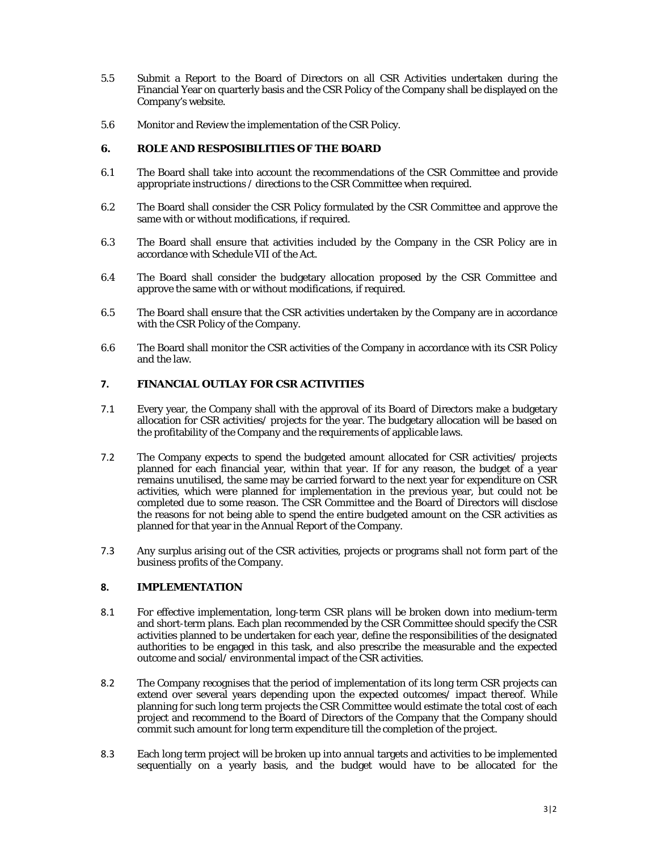- 5.5 Submit a Report to the Board of Directors on all CSR Activities undertaken during the Financial Year on quarterly basis and the CSR Policy of the Company shall be displayed on the Company's website.
- 5.6 Monitor and Review the implementation of the CSR Policy.

# **6. ROLE AND RESPOSIBILITIES OF THE BOARD**

- 6.1 The Board shall take into account the recommendations of the CSR Committee and provide appropriate instructions / directions to the CSR Committee when required.
- 6.2 The Board shall consider the CSR Policy formulated by the CSR Committee and approve the same with or without modifications, if required.
- 6.3 The Board shall ensure that activities included by the Company in the CSR Policy are in accordance with Schedule VII of the Act.
- 6.4 The Board shall consider the budgetary allocation proposed by the CSR Committee and approve the same with or without modifications, if required.
- 6.5 The Board shall ensure that the CSR activities undertaken by the Company are in accordance with the CSR Policy of the Company.
- 6.6 The Board shall monitor the CSR activities of the Company in accordance with its CSR Policy and the law.

# **7. FINANCIAL OUTLAY FOR CSR ACTIVITIES**

- 7.1 Every year, the Company shall with the approval of its Board of Directors make a budgetary allocation for CSR activities/ projects for the year. The budgetary allocation will be based on the profitability of the Company and the requirements of applicable laws.
- 7.2 The Company expects to spend the budgeted amount allocated for CSR activities/ projects planned for each financial year, within that year. If for any reason, the budget of a year remains unutilised, the same may be carried forward to the next year for expenditure on CSR activities, which were planned for implementation in the previous year, but could not be completed due to some reason. The CSR Committee and the Board of Directors will disclose the reasons for not being able to spend the entire budgeted amount on the CSR activities as planned for that year in the Annual Report of the Company.
- 7.3 Any surplus arising out of the CSR activities, projects or programs shall not form part of the business profits of the Company.

# **8. IMPLEMENTATION**

- 8.1 For effective implementation, long-term CSR plans will be broken down into medium-term and short-term plans. Each plan recommended by the CSR Committee should specify the CSR activities planned to be undertaken for each year, define the responsibilities of the designated authorities to be engaged in this task, and also prescribe the measurable and the expected outcome and social/ environmental impact of the CSR activities.
- 8.2 The Company recognises that the period of implementation of its long term CSR projects can extend over several years depending upon the expected outcomes/ impact thereof. While planning for such long term projects the CSR Committee would estimate the total cost of each project and recommend to the Board of Directors of the Company that the Company should commit such amount for long term expenditure till the completion of the project.
- 8.3 Each long term project will be broken up into annual targets and activities to be implemented sequentially on a yearly basis, and the budget would have to be allocated for the